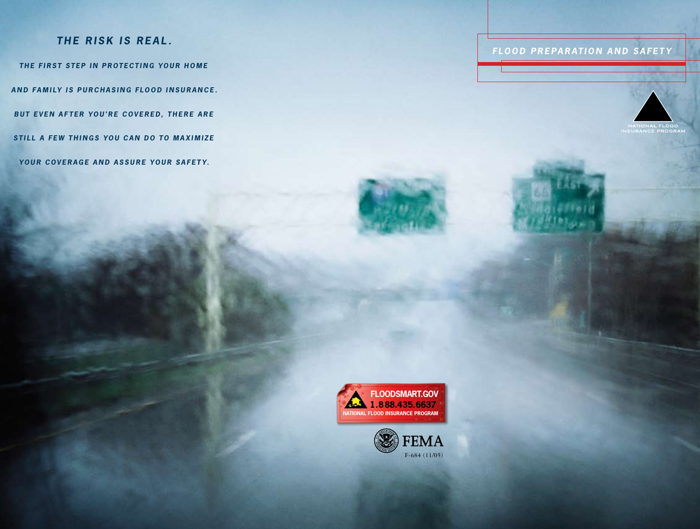## THE RISK IS REAL.

THE FIRST STEP IN PROTECTING YOUR HOME **AND FAMILY IS PURCHASING FLOOD INSURANCE. BUT EVEN AFTER YOU'RE COVERED, THERE ARE STILL A FEW THINGS YOU CAN DO TO MAXIMIZE** YOUR COVERAGE AND ASSURE YOUR SAFETY.